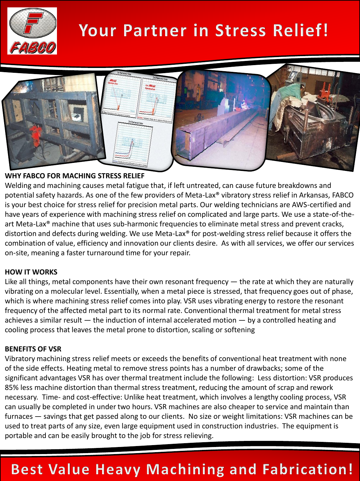

# **Your Partner in Stress Relief!**



#### **WHY FABCO FOR MACHING STRESS RELIEF**

Welding and machining causes metal fatigue that, if left untreated, can cause future breakdowns and potential safety hazards. As one of the few providers of Meta-Lax® vibratory stress relief in Arkansas, FABCO is your best choice for stress relief for precision metal parts. Our welding technicians are AWS-certified and have years of experience with machining stress relief on complicated and large parts. We use a state-of-theart Meta-Lax<sup>®</sup> machine that uses sub-harmonic frequencies to eliminate metal stress and prevent cracks, distortion and defects during welding. We use Meta-Lax® for post-welding stress relief because it offers the combination of value, efficiency and innovation our clients desire. As with all services, we offer our services on-site, meaning a faster turnaround time for your repair.

#### **HOW IT WORKS**

Like all things, metal components have their own resonant frequency — the rate at which they are naturally vibrating on a molecular level. Essentially, when a metal piece is stressed, that frequency goes out of phase, which is where machining stress relief comes into play. VSR uses vibrating energy to restore the resonant frequency of the affected metal part to its normal rate. Conventional thermal treatment for metal stress achieves a similar result — the induction of internal accelerated motion — by a controlled heating and cooling process that leaves the metal prone to distortion, scaling or softening

#### **BENEFITS OF VSR**

Vibratory machining stress relief meets or exceeds the benefits of conventional heat treatment with none of the side effects. Heating metal to remove stress points has a number of drawbacks; some of the significant advantages VSR has over thermal treatment include the following: Less distortion: VSR produces 85% less machine distortion than thermal stress treatment, reducing the amount of scrap and rework necessary. Time- and cost-effective: Unlike heat treatment, which involves a lengthy cooling process, VSR can usually be completed in under two hours. VSR machines are also cheaper to service and maintain than furnaces — savings that get passed along to our clients. No size or weight limitations: VSR machines can be used to treat parts of any size, even large equipment used in construction industries. The equipment is portable and can be easily brought to the job for stress relieving.

## **Best Value Heavy Machining and Fabrication!**